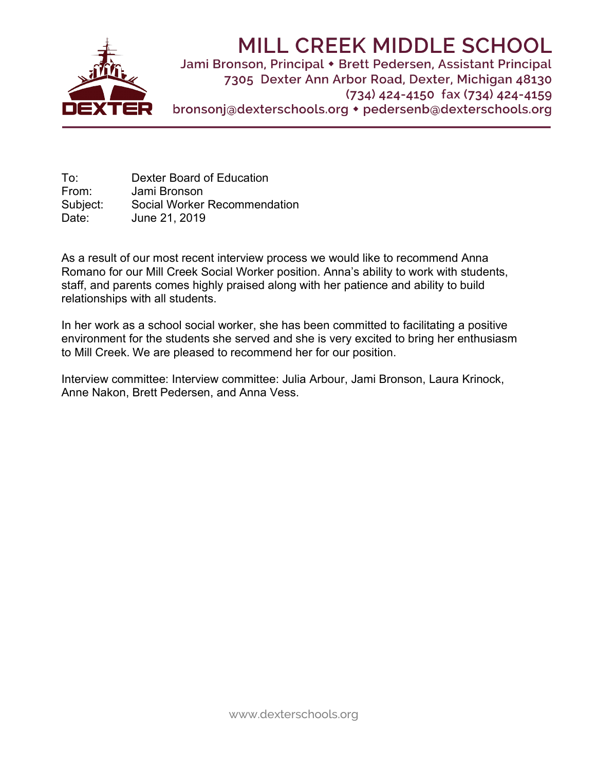

# **MILL CREEK MIDDLE SCHOOL**

Jami Bronson, Principal • Brett Pedersen, Assistant Principal 7305 Dexter Ann Arbor Road, Dexter, Michigan 48130  $(734)$  424-4150 fax  $(734)$  424-4159 bronsonj@dexterschools.org • pedersenb@dexterschools.org

To: Dexter Board of Education From: Jami Bronson Subject: Social Worker Recommendation Date: June 21, 2019

As a result of our most recent interview process we would like to recommend Anna Romano for our Mill Creek Social Worker position. Anna's ability to work with students, staff, and parents comes highly praised along with her patience and ability to build relationships with all students.

In her work as a school social worker, she has been committed to facilitating a positive environment for the students she served and she is very excited to bring her enthusiasm to Mill Creek. We are pleased to recommend her for our position.

Interview committee: Interview committee: Julia Arbour, Jami Bronson, Laura Krinock, Anne Nakon, Brett Pedersen, and Anna Vess.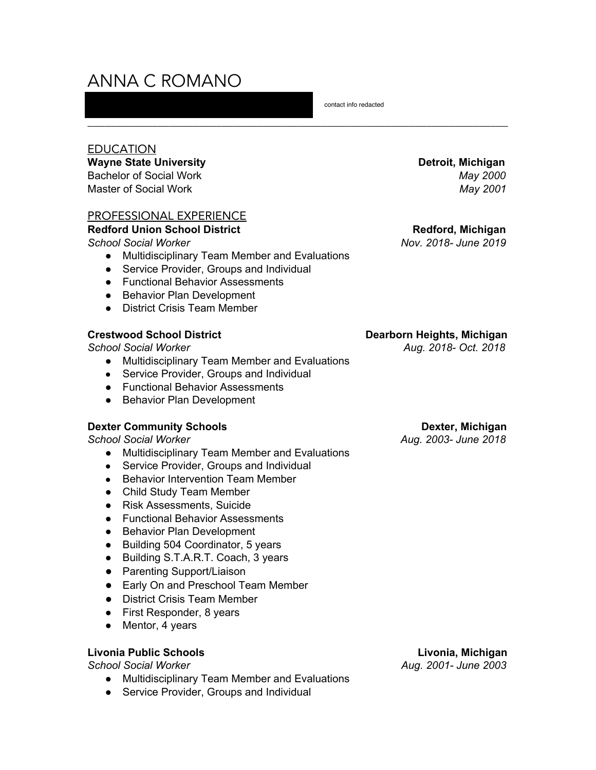# ANNA C ROMANO

EDUCATION

## **Wayne State University Detroit, Michigan**

Bachelor of Social Work *May 2000* Master of Social Work *May 2001*

# PROFESSIONAL EXPERIENCE

## **Redford Union School District Redford, Michigan**

*School Social Worker Nov. 2018- June 2019*

- Multidisciplinary Team Member and Evaluations
- Service Provider, Groups and Individual
- Functional Behavior Assessments
- Behavior Plan Development
- District Crisis Team Member

- Multidisciplinary Team Member and Evaluations
- Service Provider, Groups and Individual
- Functional Behavior Assessments
- Behavior Plan Development

# **Dexter Community Schools Dexter, Michigan**

- Multidisciplinary Team Member and Evaluations
- Service Provider, Groups and Individual
- Behavior Intervention Team Member
- Child Study Team Member
- Risk Assessments, Suicide
- Functional Behavior Assessments
- Behavior Plan Development
- Building 504 Coordinator, 5 years
- Building S.T.A.R.T. Coach, 3 years
- Parenting Support/Liaison
- Early On and Preschool Team Member
- District Crisis Team Member
- First Responder, 8 years
- Mentor, 4 years

# **Livonia Public Schools Livonia, Michigan**

- Multidisciplinary Team Member and Evaluations
- Service Provider, Groups and Individual

contact info redacted

# **Crestwood School District Dearborn Heights, Michigan**

*School Social Worker Aug. 2018- Oct. 2018*

*School Social Worker Aug. 2003- June 2018*

*School Social Worker Aug. 2001- June 2003*

\_\_\_\_\_\_\_\_\_\_\_\_\_\_\_\_\_\_\_\_\_\_\_\_\_\_\_\_\_\_\_\_\_\_\_\_\_\_\_\_\_\_\_\_\_\_\_\_\_\_\_\_\_\_\_\_\_\_\_\_\_\_\_\_\_\_\_\_\_\_\_\_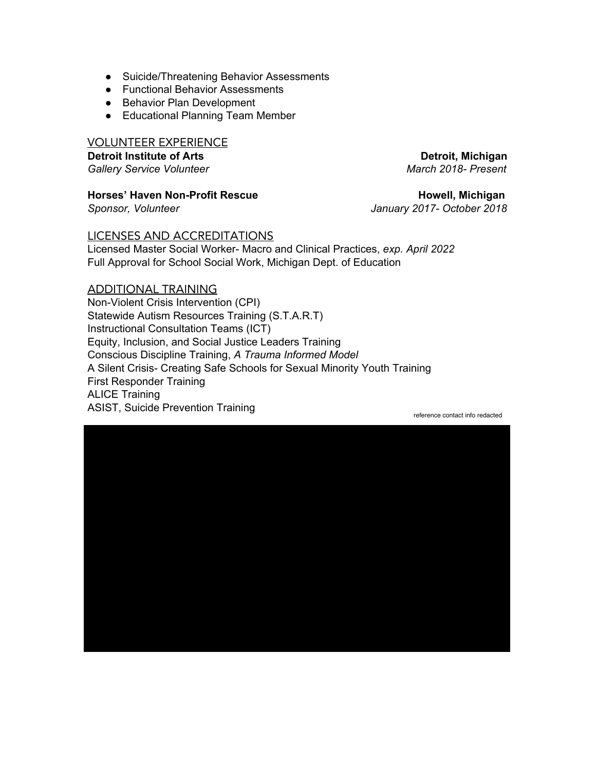- Suicide/Threatening Behavior Assessments
- Functional Behavior Assessments
- Behavior Plan Development
- Educational Planning Team Member

VOLUNTEER EXPERIENCE

**Detroit Institute of Arts Detroit, Michigan** *Gallery Service Volunteer March 2018- Present*

**Horses'** Haven Non-Profit Rescue **Accord 2018** Howell, Michigan

*Sponsor, Volunteer January 2017- October 2018*

# LICENSES AND ACCREDITATIONS

Licensed Master Social Worker- Macro and Clinical Practices, *exp. April 2022* Full Approval for School Social Work, Michigan Dept. of Education

# ADDITIONAL TRAINING

Non-Violent Crisis Intervention (CPI) Statewide Autism Resources Training (S.T.A.R.T) Instructional Consultation Teams (ICT) Equity, Inclusion, and Social Justice Leaders Training Conscious Discipline Training, *A Trauma Informed Model* A Silent Crisis- Creating Safe Schools for Sexual Minority Youth Training First Responder Training ALICE Training ASIST, Suicide Prevention Training reference contact info redacted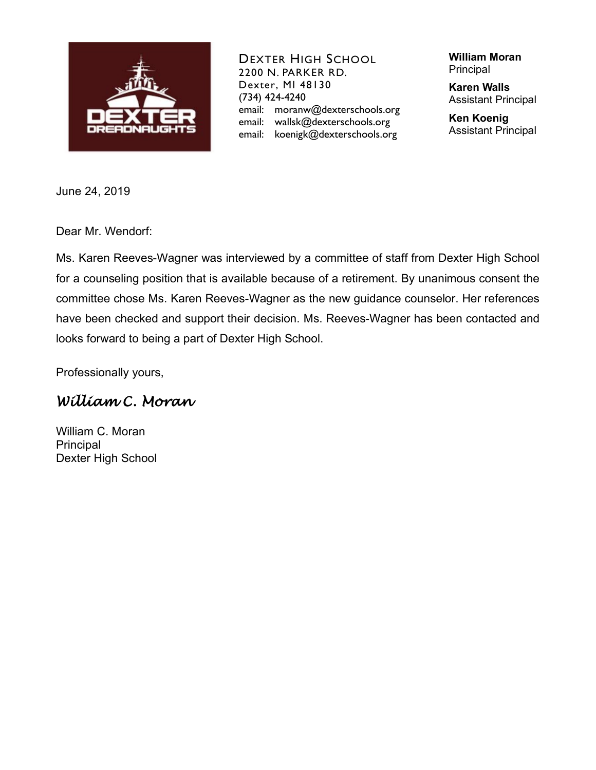

DEXTER HIGH SCHOOL 2200 N. PARKER RD. Dexter, MI 48130 (734) 424-4240 email: moranw@dexterschools.org email: wallsk@dexterschools.org email: koenigk@dexterschools.org

**William Moran** Principal

**Karen Walls** Assistant Principal

**Ken Koenig** Assistant Principal

June 24, 2019

Dear Mr. Wendorf:

Ms. Karen Reeves-Wagner was interviewed by a committee of staff from Dexter High School for a counseling position that is available because of a retirement. By unanimous consent the committee chose Ms. Karen Reeves-Wagner as the new guidance counselor. Her references have been checked and support their decision. Ms. Reeves-Wagner has been contacted and looks forward to being a part of Dexter High School.

Professionally yours,

# *William C. Moran*

William C. Moran Principal Dexter High School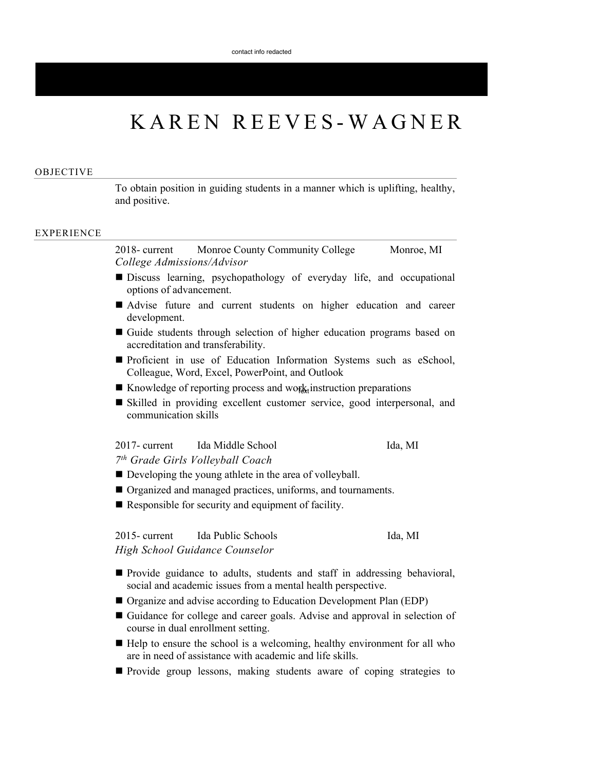# KAREN REEVES-WAGNER FEEVI<br>The EEVI<br>They students in a m<br>They students in a m<br>They students in a m<br>They students of thigh<br>The students of thigh<br>The students of thigh<br>The students of thigh<br>The students of thigh<br>The Student of thigh<br>Theorem Powe

#### OBJECTIVE

To obtain position in guiding students in a manner which is uplifting, healthy, and positive.

#### EXPERIENCE

2018- current Monroe County Community College Monroe, MI *College Admissions/Advisor*

- Discuss learning, psychopathology of everyday life, and occupational options of advancement.
- Advise future and current students on higher education and career development.
- Guide students through selection of higher education programs based on accreditation and transferability.
- **Proficient in use of Education Information Systems such as eSchool,** Colleague, Word, Excel, PowerPoint, and Outlook
- Knowledge of reporting process and work instruction preparations
- Skilled in providing excellent customer service, good interpersonal, and communication skills

# 2017- current Ida Middle School Ida, MI

*7 th Grade Girls Volleyball Coach*

- Developing the young athlete in the area of volleyball.
- Organized and managed practices, uniforms, and tournaments.
- Responsible for security and equipment of facility.

2015- current Ida Public Schools Ida, MI *High School Guidance Counselor*

- **Provide guidance to adults, students and staff in addressing behavioral,** social and academic issues from a mental health perspective.
- Organize and advise according to Education Development Plan (EDP)
- Guidance for college and career goals. Advise and approval in selection of course in dual enrollment setting.
- $\blacksquare$  Help to ensure the school is a welcoming, healthy environment for all who are in need of assistance with academic and life skills.
- **Provide group lessons, making students aware of coping strategies to**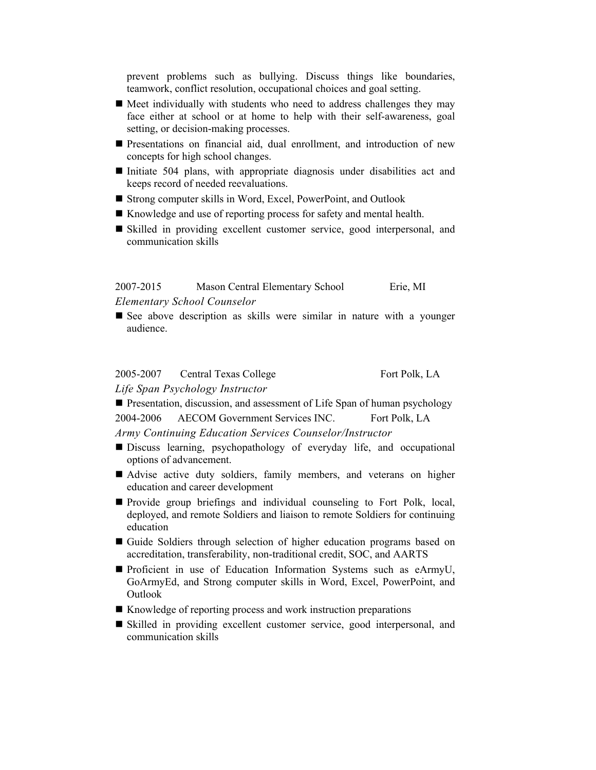prevent problems such as bullying. Discuss things like boundaries, teamwork, conflict resolution, occupational choices and goal setting.

- $\blacksquare$  Meet individually with students who need to address challenges they may face either at school or at home to help with their self-awareness, goal setting, or decision-making processes.
- Presentations on financial aid, dual enrollment, and introduction of new concepts for high school changes.
- Initiate 504 plans, with appropriate diagnosis under disabilities act and keeps record of needed reevaluations.
- Strong computer skills in Word, Excel, PowerPoint, and Outlook
- Knowledge and use of reporting process for safety and mental health.
- Skilled in providing excellent customer service, good interpersonal, and communication skills

2007-2015 Mason Central Elementary School Erie, MI *Elementary School Counselor*

See above description as skills were similar in nature with a younger audience.

2005-2007 Central Texas College Fort Polk, LA *Life Span Psychology Instructor*

**Presentation, discussion, and assessment of Life Span of human psychology** 2004-2006 AECOM Government Services INC. Fort Polk, LA

*Army Continuing Education Services Counselor/Instructor*

- Discuss learning, psychopathology of everyday life, and occupational options of advancement.
- Advise active duty soldiers, family members, and veterans on higher education and career development
- **Provide group briefings and individual counseling to Fort Polk, local,** deployed, and remote Soldiers and liaison to remote Soldiers for continuing education
- Guide Soldiers through selection of higher education programs based on accreditation, transferability, non-traditional credit, SOC, and AARTS
- Proficient in use of Education Information Systems such as eArmyU, GoArmyEd, and Strong computer skills in Word, Excel, PowerPoint, and Outlook
- Knowledge of reporting process and work instruction preparations
- Skilled in providing excellent customer service, good interpersonal, and communication skills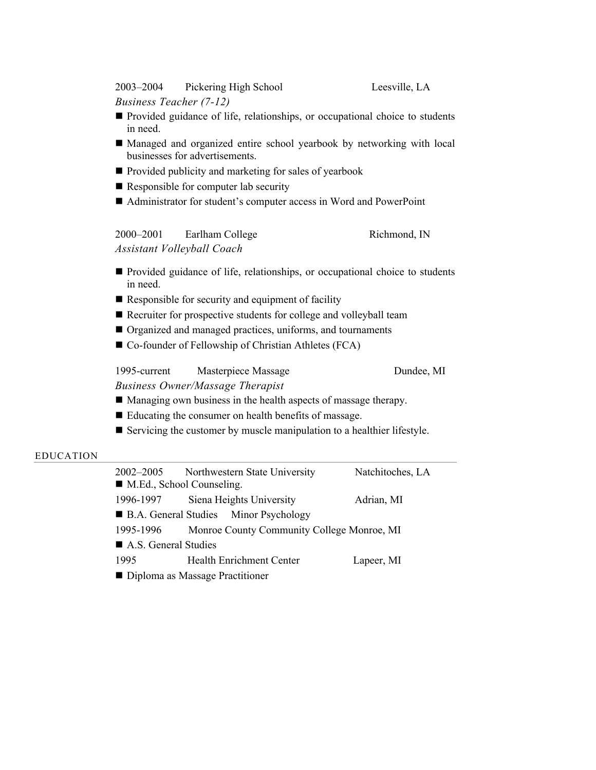2003–2004 Pickering High School Leesville, LA

*Business Teacher (7-12)*

- **Provided guidance of life, relationships, or occupational choice to students** in need.
- Managed and organized entire school yearbook by networking with local businesses for advertisements.
- **Provided publicity and marketing for sales of yearbook**
- Responsible for computer lab security
- Administrator for student's computer access in Word and PowerPoint

| 2000-2001 | Earlham College            | Richmond, IN |
|-----------|----------------------------|--------------|
|           | Assistant Volleyball Coach |              |

- **Provided guidance of life, relationships, or occupational choice to students** in need.
- Responsible for security and equipment of facility
- Recruiter for prospective students for college and volleyball team
- Organized and managed practices, uniforms, and tournaments
- Co-founder of Fellowship of Christian Athletes (FCA)

1995-current Masterpiece Massage Dundee, MI

*Business Owner/Massage Therapist*

- Managing own business in the health aspects of massage therapy.
- Educating the consumer on health benefits of massage.
- Servicing the customer by muscle manipulation to a healthier lifestyle.

#### EDUCATION

| 2002–2005                                | Northwestern State University              | Natchitoches, LA |  |  |
|------------------------------------------|--------------------------------------------|------------------|--|--|
| $\blacksquare$ M.Ed., School Counseling. |                                            |                  |  |  |
| 1996-1997                                | Siena Heights University                   | Adrian, MI       |  |  |
| ■ B.A. General Studies Minor Psychology  |                                            |                  |  |  |
| 1995-1996                                | Monroe County Community College Monroe, MI |                  |  |  |
| A.S. General Studies                     |                                            |                  |  |  |
| 1995                                     | <b>Health Enrichment Center</b>            | Lapeer, MI       |  |  |
| ■ Diploma as Massage Practitioner        |                                            |                  |  |  |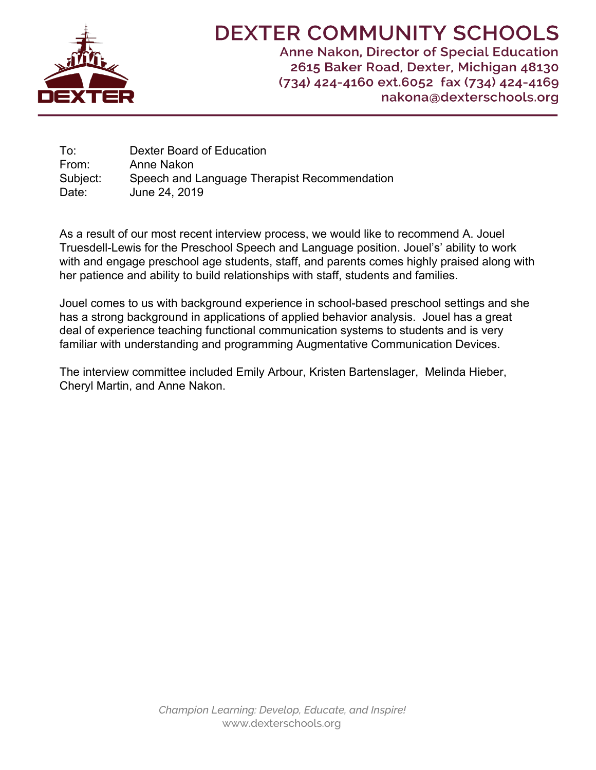

# **DEXTER COMMUNITY SCHOOLS**

Anne Nakon, Director of Special Education 2615 Baker Road, Dexter, Michigan 48130 (734) 424-4160 ext.6052 fax (734) 424-4169 nakona@dexterschools.org

To: Dexter Board of Education From: Anne Nakon Subject: Speech and Language Therapist Recommendation Date: June 24, 2019

As a result of our most recent interview process, we would like to recommend A. Jouel Truesdell-Lewis for the Preschool Speech and Language position. Jouel's' ability to work with and engage preschool age students, staff, and parents comes highly praised along with her patience and ability to build relationships with staff, students and families.

Jouel comes to us with background experience in school-based preschool settings and she has a strong background in applications of applied behavior analysis. Jouel has a great deal of experience teaching functional communication systems to students and is very familiar with understanding and programming Augmentative Communication Devices.

The interview committee included Emily Arbour, Kristen Bartenslager, Melinda Hieber, Cheryl Martin, and Anne Nakon.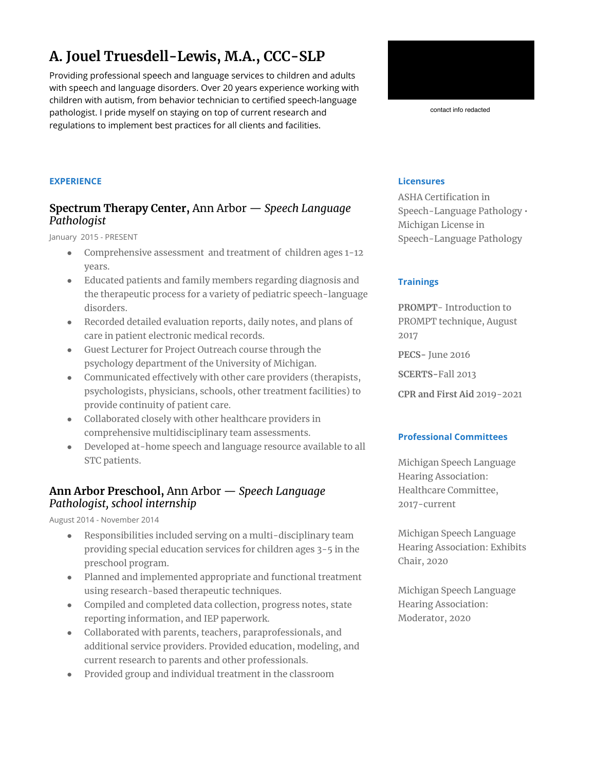# **A. Jouel Truesdell-Lewis, M.A., CCC-SLP**

Providing professional speech and language services to children and adults with speech and language disorders. Over 20 years experience working with children with autism, from behavior technician to certified speech-language pathologist. I pride myself on staying on top of current research and regulations to implement best practices for all clients and facilities.



contact info redacted

# **EXPERIENCE**

# **Spectrum Therapy Center,** Ann Arbor — *Speech Language Pathologist*

January 2015 - PRESENT

- Comprehensive assessment and treatment of children ages 1-12 years.
- Educated patients and family members regarding diagnosis and the therapeutic process for a variety of pediatric speech-language disorders.
- Recorded detailed evaluation reports, daily notes, and plans of care in patient electronic medical records.
- Guest Lecturer for Project Outreach course through the psychology department of the University of Michigan.
- Communicated effectively with other care providers (therapists, psychologists, physicians, schools, other treatment facilities) to provide continuity of patient care.
- Collaborated closely with other healthcare providers in comprehensive multidisciplinary team assessments.
- Developed at-home speech and language resource available to all STC patients.

# **Ann Arbor Preschool,** Ann Arbor — *Speech Language Pathologist, school internship*

August 2014 - November 2014

- Responsibilities included serving on a multi-disciplinary team providing special education services for children ages 3-5 in the preschool program.
- Planned and implemented appropriate and functional treatment using research-based therapeutic techniques.
- Compiled and completed data collection, progress notes, state reporting information, and IEP paperwork.
- Collaborated with parents, teachers, paraprofessionals, and additional service providers. Provided education, modeling, and current research to parents and other professionals.
- Provided group and individual treatment in the classroom

# **Licensures**

ASHA Certification in Speech-Language Pathology • Michigan License in Speech-Language Pathology

# **Trainings**

**PROMPT**- Introduction to PROMPT technique, August 2017 **PECS-** June 2016 **SCERTS-**Fall 2013 **CPR and First Aid** 2019-2021

# **Professional Committees**

Michigan Speech Language Hearing Association: Healthcare Committee, 2017-current

Michigan Speech Language Hearing Association: Exhibits Chair, 2020

Michigan Speech Language Hearing Association: Moderator, 2020